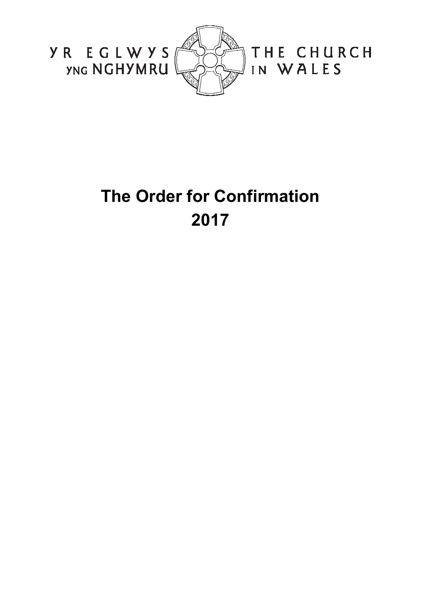

# **The Order for Confirmation 2017**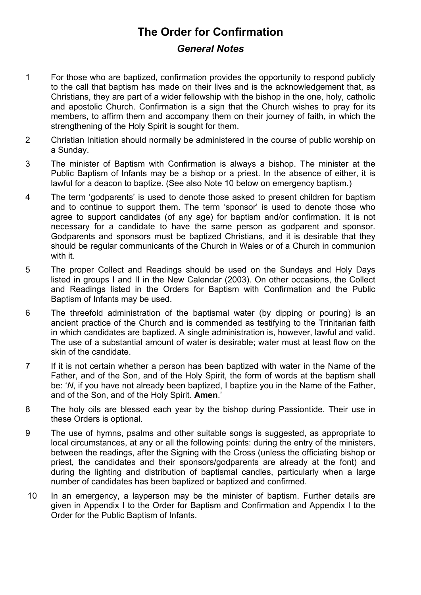## **The Order for Confirmation**

## *General Notes*

- 1 For those who are baptized, confirmation provides the opportunity to respond publicly to the call that baptism has made on their lives and is the acknowledgement that, as Christians, they are part of a wider fellowship with the bishop in the one, holy, catholic and apostolic Church. Confirmation is a sign that the Church wishes to pray for its members, to affirm them and accompany them on their journey of faith, in which the strengthening of the Holy Spirit is sought for them.
- 2 Christian Initiation should normally be administered in the course of public worship on a Sunday.
- 3 The minister of Baptism with Confirmation is always a bishop. The minister at the Public Baptism of Infants may be a bishop or a priest. In the absence of either, it is lawful for a deacon to baptize. (See also Note 10 below on emergency baptism.)
- 4 The term 'godparents' is used to denote those asked to present children for baptism and to continue to support them. The term 'sponsor' is used to denote those who agree to support candidates (of any age) for baptism and/or confirmation. It is not necessary for a candidate to have the same person as godparent and sponsor. Godparents and sponsors must be baptized Christians, and it is desirable that they should be regular communicants of the Church in Wales or of a Church in communion with it.
- 5 The proper Collect and Readings should be used on the Sundays and Holy Days listed in groups I and II in the New Calendar (2003). On other occasions, the Collect and Readings listed in the Orders for Baptism with Confirmation and the Public Baptism of Infants may be used.
- 6 The threefold administration of the baptismal water (by dipping or pouring) is an ancient practice of the Church and is commended as testifying to the Trinitarian faith in which candidates are baptized. A single administration is, however, lawful and valid. The use of a substantial amount of water is desirable; water must at least flow on the skin of the candidate.
- 7 If it is not certain whether a person has been baptized with water in the Name of the Father, and of the Son, and of the Holy Spirit, the form of words at the baptism shall be: '*N*, if you have not already been baptized, I baptize you in the Name of the Father, and of the Son, and of the Holy Spirit. **Amen**.'
- 8 The holy oils are blessed each year by the bishop during Passiontide. Their use in these Orders is optional.
- 9 The use of hymns, psalms and other suitable songs is suggested, as appropriate to local circumstances, at any or all the following points: during the entry of the ministers, between the readings, after the Signing with the Cross (unless the officiating bishop or priest, the candidates and their sponsors/godparents are already at the font) and during the lighting and distribution of baptismal candles, particularly when a large number of candidates has been baptized or baptized and confirmed.
- 10 In an emergency, a layperson may be the minister of baptism. Further details are given in Appendix I to the Order for Baptism and Confirmation and Appendix I to the Order for the Public Baptism of Infants.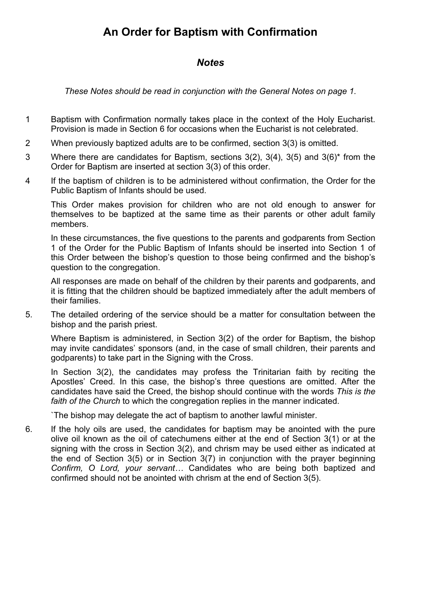## **An Order for Baptism with Confirmation**

## *Notes*

*These Notes should be read in conjunction with the General Notes on page 1.* 

- 1 Baptism with Confirmation normally takes place in the context of the Holy Eucharist. Provision is made in Section 6 for occasions when the Eucharist is not celebrated.
- 2 When previously baptized adults are to be confirmed, section 3(3) is omitted.
- 3 Where there are candidates for Baptism, sections 3(2), 3(4), 3(5) and 3(6)\* from the Order for Baptism are inserted at section 3(3) of this order.
- 4 If the baptism of children is to be administered without confirmation, the Order for the Public Baptism of Infants should be used.

This Order makes provision for children who are not old enough to answer for themselves to be baptized at the same time as their parents or other adult family members.

In these circumstances, the five questions to the parents and godparents from Section 1 of the Order for the Public Baptism of Infants should be inserted into Section 1 of this Order between the bishop's question to those being confirmed and the bishop's question to the congregation.

All responses are made on behalf of the children by their parents and godparents, and it is fitting that the children should be baptized immediately after the adult members of their families.

5. The detailed ordering of the service should be a matter for consultation between the bishop and the parish priest.

Where Baptism is administered, in Section 3(2) of the order for Baptism, the bishop may invite candidates' sponsors (and, in the case of small children, their parents and godparents) to take part in the Signing with the Cross.

In Section 3(2), the candidates may profess the Trinitarian faith by reciting the Apostles' Creed. In this case, the bishop's three questions are omitted. After the candidates have said the Creed, the bishop should continue with the words *This is the faith of the Church* to which the congregation replies in the manner indicated.

`The bishop may delegate the act of baptism to another lawful minister.

6. If the holy oils are used, the candidates for baptism may be anointed with the pure olive oil known as the oil of catechumens either at the end of Section 3(1) or at the signing with the cross in Section 3(2), and chrism may be used either as indicated at the end of Section 3(5) or in Section 3(7) in conjunction with the prayer beginning *Confirm, O Lord, your servant…* Candidates who are being both baptized and confirmed should not be anointed with chrism at the end of Section 3(5).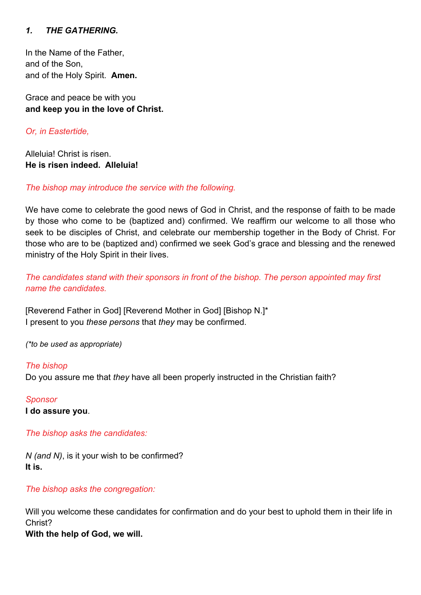#### *1. THE GATHERING.*

In the Name of the Father, and of the Son, and of the Holy Spirit. **Amen.**

Grace and peace be with you **and keep you in the love of Christ.** 

*Or, in Eastertide,* 

Alleluia! Christ is risen. **He is risen indeed. Alleluia!** 

*The bishop may introduce the service with the following.* 

We have come to celebrate the good news of God in Christ, and the response of faith to be made by those who come to be (baptized and) confirmed. We reaffirm our welcome to all those who seek to be disciples of Christ, and celebrate our membership together in the Body of Christ. For those who are to be (baptized and) confirmed we seek God's grace and blessing and the renewed ministry of the Holy Spirit in their lives.

*The candidates stand with their sponsors in front of the bishop. The person appointed may first name the candidates.* 

[Reverend Father in God] [Reverend Mother in God] [Bishop N.]\* I present to you *these persons* that *they* may be confirmed.

*(\*to be used as appropriate)* 

*The bishop*  Do you assure me that *they* have all been properly instructed in the Christian faith?

*Sponsor*  **I do assure you**.

*The bishop asks the candidates:* 

*N (and N)*, is it your wish to be confirmed? **It is.** 

*The bishop asks the congregation:* 

Will you welcome these candidates for confirmation and do your best to uphold them in their life in Christ?

**With the help of God, we will.**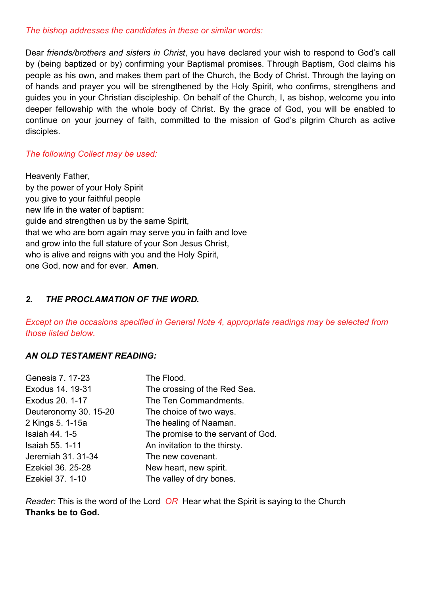#### *The bishop addresses the candidates in these or similar words:*

Dear *friends/brothers and sisters in Christ*, you have declared your wish to respond to God's call by (being baptized or by) confirming your Baptismal promises. Through Baptism, God claims his people as his own, and makes them part of the Church, the Body of Christ. Through the laying on of hands and prayer you will be strengthened by the Holy Spirit, who confirms, strengthens and guides you in your Christian discipleship. On behalf of the Church, I, as bishop, welcome you into deeper fellowship with the whole body of Christ. By the grace of God, you will be enabled to continue on your journey of faith, committed to the mission of God's pilgrim Church as active disciples.

## *The following Collect may be used:*

Heavenly Father, by the power of your Holy Spirit you give to your faithful people new life in the water of baptism: guide and strengthen us by the same Spirit, that we who are born again may serve you in faith and love and grow into the full stature of your Son Jesus Christ, who is alive and reigns with you and the Holy Spirit, one God, now and for ever. **Amen**.

## *2. THE PROCLAMATION OF THE WORD.*

*Except on the occasions specified in General Note 4, appropriate readings may be selected from those listed below.* 

## *AN OLD TESTAMENT READING:*

| <b>Genesis 7. 17-23</b> | The Flood.                         |
|-------------------------|------------------------------------|
| Exodus 14. 19-31        | The crossing of the Red Sea.       |
| Exodus 20. 1-17         | The Ten Commandments.              |
| Deuteronomy 30. 15-20   | The choice of two ways.            |
| 2 Kings 5. 1-15a        | The healing of Naaman.             |
| <b>Isaiah 44. 1-5</b>   | The promise to the servant of God. |
| <b>Isaiah 55. 1-11</b>  | An invitation to the thirsty.      |
| Jeremiah 31. 31-34      | The new covenant.                  |
| Ezekiel 36. 25-28       | New heart, new spirit.             |
| Ezekiel 37. 1-10        | The valley of dry bones.           |

*Reader:* This is the word of the Lord *OR* Hear what the Spirit is saying to the Church **Thanks be to God.**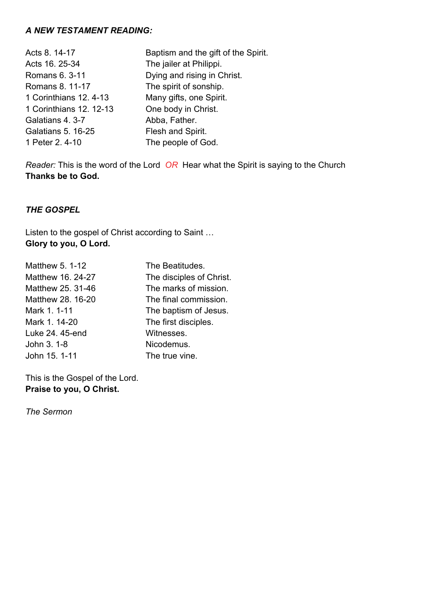#### *A NEW TESTAMENT READING:*

| Acts 8. 14-17             | Baptism and the gift of the Spirit. |
|---------------------------|-------------------------------------|
| Acts 16. 25-34            | The jailer at Philippi.             |
| Romans 6. 3-11            | Dying and rising in Christ.         |
| Romans 8. 11-17           | The spirit of sonship.              |
| 1 Corinthians 12, 4-13    | Many gifts, one Spirit.             |
| 1 Corinthians 12, 12-13   | One body in Christ.                 |
| Galatians 4. 3-7          | Abba, Father.                       |
| <b>Galatians 5. 16-25</b> | Flesh and Spirit.                   |
| 1 Peter 2.4-10            | The people of God.                  |

*Reader:* This is the word of the Lord *OR* Hear what the Spirit is saying to the Church **Thanks be to God.** 

## *THE GOSPEL*

Listen to the gospel of Christ according to Saint … **Glory to you, O Lord.** 

| Matthew 5. 1-12   | The Beatitudes.          |
|-------------------|--------------------------|
| Matthew 16, 24-27 | The disciples of Christ. |
| Matthew 25, 31-46 | The marks of mission.    |
| Matthew 28. 16-20 | The final commission.    |
| Mark 1.1-11       | The baptism of Jesus.    |
| Mark 1. 14-20     | The first disciples.     |
| Luke 24, 45-end   | Witnesses.               |
| John 3. 1-8       | Nicodemus.               |
| John 15. 1-11     | The true vine.           |
|                   |                          |

This is the Gospel of the Lord. **Praise to you, O Christ.** 

*The Sermon*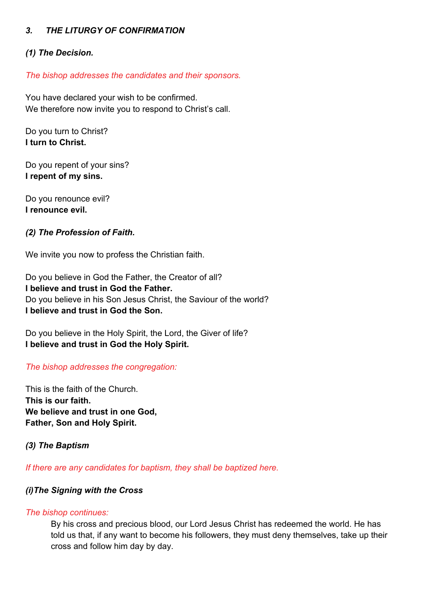#### *3. THE LITURGY OF CONFIRMATION*

#### *(1) The Decision.*

*The bishop addresses the candidates and their sponsors.* 

You have declared your wish to be confirmed. We therefore now invite you to respond to Christ's call.

Do you turn to Christ? **I turn to Christ.** 

Do you repent of your sins? **I repent of my sins.** 

Do you renounce evil? **I renounce evil.** 

#### *(2) The Profession of Faith.*

We invite you now to profess the Christian faith.

Do you believe in God the Father, the Creator of all? **I believe and trust in God the Father.**  Do you believe in his Son Jesus Christ, the Saviour of the world? **I believe and trust in God the Son.** 

Do you believe in the Holy Spirit, the Lord, the Giver of life? **I believe and trust in God the Holy Spirit.** 

*The bishop addresses the congregation:* 

This is the faith of the Church. **This is our faith. We believe and trust in one God, Father, Son and Holy Spirit.** 

*(3) The Baptism* 

*If there are any candidates for baptism, they shall be baptized here.* 

#### *(i)The Signing with the Cross*

#### *The bishop continues:*

By his cross and precious blood, our Lord Jesus Christ has redeemed the world. He has told us that, if any want to become his followers, they must deny themselves, take up their cross and follow him day by day.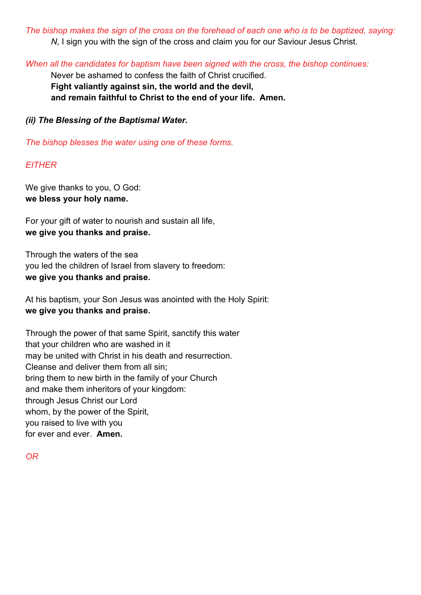*The bishop makes the sign of the cross on the forehead of each one who is to be baptized, saying: N*, I sign you with the sign of the cross and claim you for our Saviour Jesus Christ.

*When all the candidates for baptism have been signed with the cross, the bishop continues:* 

Never be ashamed to confess the faith of Christ crucified. **Fight valiantly against sin, the world and the devil, and remain faithful to Christ to the end of your life. Amen.** 

*(ii) The Blessing of the Baptismal Water.* 

*The bishop blesses the water using one of these forms.* 

## *EITHER*

We give thanks to you, O God: **we bless your holy name.** 

For your gift of water to nourish and sustain all life, **we give you thanks and praise.** 

Through the waters of the sea you led the children of Israel from slavery to freedom: **we give you thanks and praise.** 

At his baptism, your Son Jesus was anointed with the Holy Spirit: **we give you thanks and praise.** 

Through the power of that same Spirit, sanctify this water that your children who are washed in it may be united with Christ in his death and resurrection. Cleanse and deliver them from all sin; bring them to new birth in the family of your Church and make them inheritors of your kingdom: through Jesus Christ our Lord whom, by the power of the Spirit, you raised to live with you for ever and ever. **Amen.** 

*OR*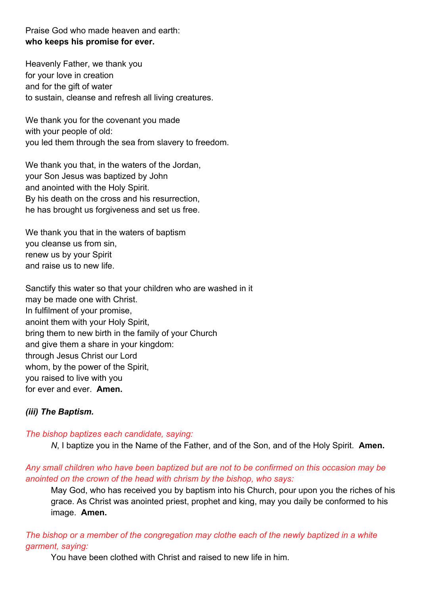Praise God who made heaven and earth: **who keeps his promise for ever.** 

Heavenly Father, we thank you for your love in creation and for the gift of water to sustain, cleanse and refresh all living creatures.

We thank you for the covenant you made with your people of old: you led them through the sea from slavery to freedom.

We thank you that, in the waters of the Jordan, your Son Jesus was baptized by John and anointed with the Holy Spirit. By his death on the cross and his resurrection, he has brought us forgiveness and set us free.

We thank you that in the waters of baptism you cleanse us from sin, renew us by your Spirit and raise us to new life.

Sanctify this water so that your children who are washed in it may be made one with Christ. In fulfilment of your promise, anoint them with your Holy Spirit, bring them to new birth in the family of your Church and give them a share in your kingdom: through Jesus Christ our Lord whom, by the power of the Spirit, you raised to live with you for ever and ever. **Amen.** 

#### *(iii) The Baptism.*

#### *The bishop baptizes each candidate, saying:*

*N*, I baptize you in the Name of the Father, and of the Son, and of the Holy Spirit. **Amen.** 

#### *Any small children who have been baptized but are not to be confirmed on this occasion may be anointed on the crown of the head with chrism by the bishop, who says:*

May God, who has received you by baptism into his Church, pour upon you the riches of his grace. As Christ was anointed priest, prophet and king, may you daily be conformed to his image. **Amen.**

## *The bishop or a member of the congregation may clothe each of the newly baptized in a white garment, saying:*

You have been clothed with Christ and raised to new life in him.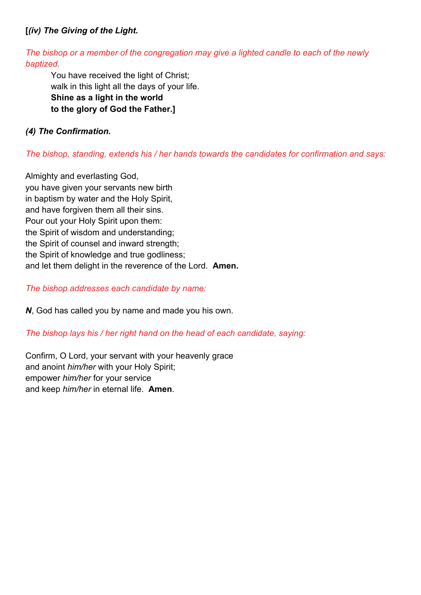## **[***(iv) The Giving of the Light.*

*The bishop or a member of the congregation may give a lighted candle to each of the newly baptized.* 

You have received the light of Christ; walk in this light all the days of your life. **Shine as a light in the world to the glory of God the Father.]** 

## *(4) The Confirmation.*

### *The bishop, standing, extends his / her hands towards the candidates for confirmation and says:*

Almighty and everlasting God, you have given your servants new birth in baptism by water and the Holy Spirit, and have forgiven them all their sins. Pour out your Holy Spirit upon them: the Spirit of wisdom and understanding; the Spirit of counsel and inward strength; the Spirit of knowledge and true godliness; and let them delight in the reverence of the Lord. **Amen.**

#### *The bishop addresses each candidate by name:*

*N*, God has called you by name and made you his own.

#### *The bishop lays his / her right hand on the head of each candidate, saying:*

Confirm, O Lord, your servant with your heavenly grace and anoint *him/her* with your Holy Spirit; empower *him/her* for your service and keep *him/her* in eternal life. **Amen**.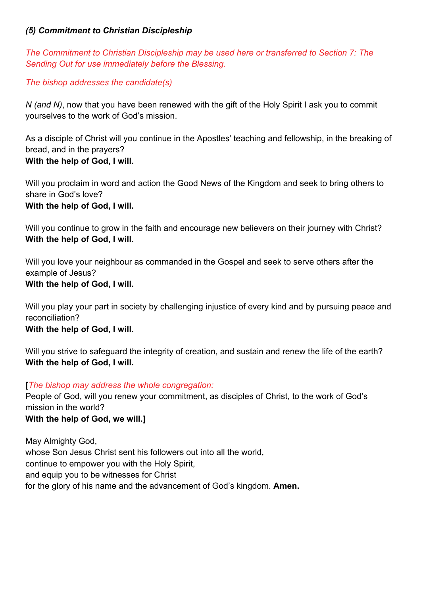#### *(5) Commitment to Christian Discipleship*

*The Commitment to Christian Discipleship may be used here or transferred to Section 7: The Sending Out for use immediately before the Blessing.* 

*The bishop addresses the candidate(s)* 

*N (and N)*, now that you have been renewed with the gift of the Holy Spirit I ask you to commit yourselves to the work of God's mission.

As a disciple of Christ will you continue in the Apostles' teaching and fellowship, in the breaking of bread, and in the prayers? **With the help of God, I will.** 

Will you proclaim in word and action the Good News of the Kingdom and seek to bring others to share in God's love? **With the help of God, I will.** 

Will you continue to grow in the faith and encourage new believers on their journey with Christ? **With the help of God, I will.** 

Will you love your neighbour as commanded in the Gospel and seek to serve others after the example of Jesus?

## **With the help of God, I will.**

Will you play your part in society by challenging injustice of every kind and by pursuing peace and reconciliation?

#### **With the help of God, I will.**

Will you strive to safeguard the integrity of creation, and sustain and renew the life of the earth? **With the help of God, I will.** 

## **[***The bishop may address the whole congregation:*

People of God, will you renew your commitment, as disciples of Christ, to the work of God's mission in the world?

## **With the help of God, we will.]**

May Almighty God, whose Son Jesus Christ sent his followers out into all the world, continue to empower you with the Holy Spirit, and equip you to be witnesses for Christ for the glory of his name and the advancement of God's kingdom. **Amen.**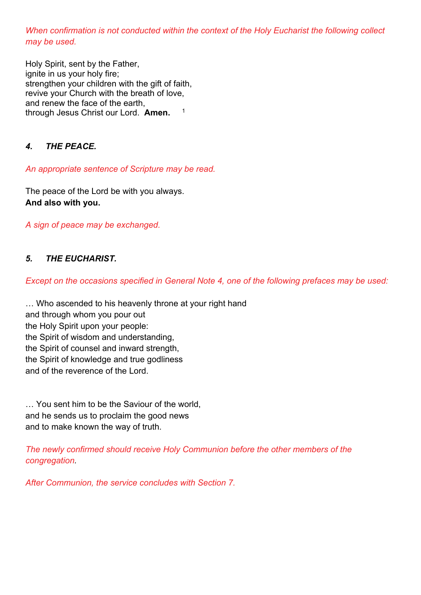*When confirmation is not conducted within the context of the Holy Eucharist the following collect may be used.* 

Holy Spirit, sent by the Father, ignite in us your holy fire; strengthen your children with the gift of faith, revive your Church with the breath of love, and renew the face of the earth, through Jesus Christ our Lord. **Amen.** <sup>1</sup>

## *4. THE PEACE.*

*An appropriate sentence of Scripture may be read.* 

The peace of the Lord be with you always. **And also with you.** 

*A sign of peace may be exchanged.* 

## *5. THE EUCHARIST.*

*Except on the occasions specified in General Note 4, one of the following prefaces may be used:* 

… Who ascended to his heavenly throne at your right hand and through whom you pour out the Holy Spirit upon your people: the Spirit of wisdom and understanding, the Spirit of counsel and inward strength, the Spirit of knowledge and true godliness and of the reverence of the Lord.

… You sent him to be the Saviour of the world, and he sends us to proclaim the good news and to make known the way of truth.

*The newly confirmed should receive Holy Communion before the other members of the congregation.* 

*After Communion, the service concludes with Section 7.*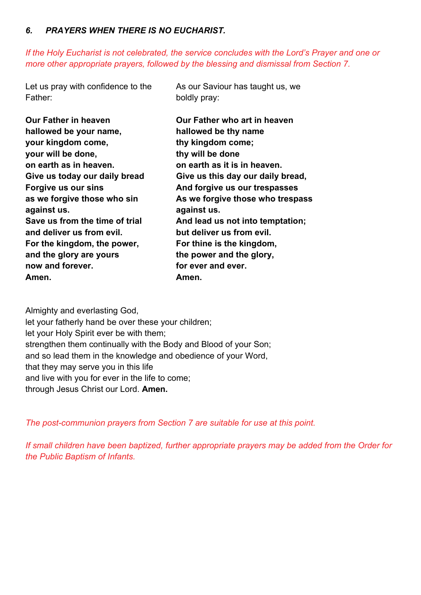#### *6. PRAYERS WHEN THERE IS NO EUCHARIST.*

*If the Holy Eucharist is not celebrated, the service concludes with the Lord's Prayer and one or more other appropriate prayers, followed by the blessing and dismissal from Section 7.* 

Let us pray with confidence to the Father:

As our Saviour has taught us, we boldly pray:

| <b>Our Father in heaven</b>    | Our Father who art in heaven      |
|--------------------------------|-----------------------------------|
| hallowed be your name,         | hallowed be thy name              |
| your kingdom come,             | thy kingdom come;                 |
| your will be done,             | thy will be done                  |
| on earth as in heaven.         | on earth as it is in heaven.      |
| Give us today our daily bread  | Give us this day our daily bread, |
| Forgive us our sins            | And forgive us our trespasses     |
| as we forgive those who sin    | As we forgive those who trespass  |
| against us.                    | against us.                       |
| Save us from the time of trial | And lead us not into temptation;  |
| and deliver us from evil.      | but deliver us from evil.         |
| For the kingdom, the power,    | For thine is the kingdom,         |
| and the glory are yours        | the power and the glory,          |
| now and forever.               | for ever and ever.                |
| Amen.                          | Amen.                             |

Almighty and everlasting God, let your fatherly hand be over these your children; let your Holy Spirit ever be with them; strengthen them continually with the Body and Blood of your Son; and so lead them in the knowledge and obedience of your Word, that they may serve you in this life and live with you for ever in the life to come; through Jesus Christ our Lord. **Amen.** 

*The post-communion prayers from Section 7 are suitable for use at this point.* 

*If small children have been baptized, further appropriate prayers may be added from the Order for the Public Baptism of Infants.*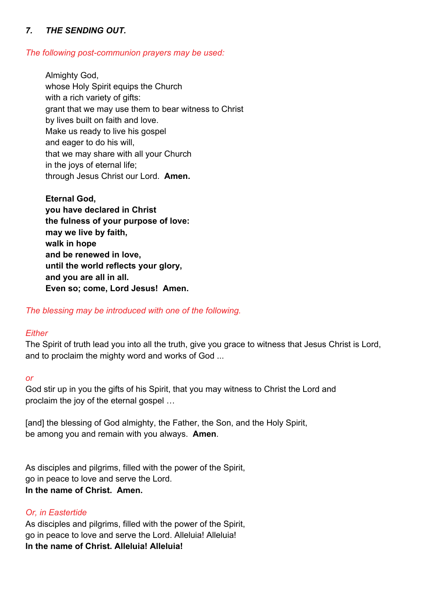## *7. THE SENDING OUT.*

#### *The following post-communion prayers may be used:*

 Almighty God, whose Holy Spirit equips the Church with a rich variety of gifts: grant that we may use them to bear witness to Christ by lives built on faith and love. Make us ready to live his gospel and eager to do his will, that we may share with all your Church in the joys of eternal life; through Jesus Christ our Lord. **Amen.**

**Eternal God, you have declared in Christ the fulness of your purpose of love: may we live by faith, walk in hope and be renewed in love, until the world reflects your glory, and you are all in all. Even so; come, Lord Jesus! Amen.** 

*The blessing may be introduced with one of the following.* 

#### *Either*

The Spirit of truth lead you into all the truth, give you grace to witness that Jesus Christ is Lord, and to proclaim the mighty word and works of God ...

#### *or*

God stir up in you the gifts of his Spirit, that you may witness to Christ the Lord and proclaim the joy of the eternal gospel …

[and] the blessing of God almighty, the Father, the Son, and the Holy Spirit, be among you and remain with you always. **Amen**.

As disciples and pilgrims, filled with the power of the Spirit, go in peace to love and serve the Lord. **In the name of Christ. Amen.** 

#### *Or, in Eastertide*

As disciples and pilgrims, filled with the power of the Spirit, go in peace to love and serve the Lord. Alleluia! Alleluia! **In the name of Christ. Alleluia! Alleluia!**